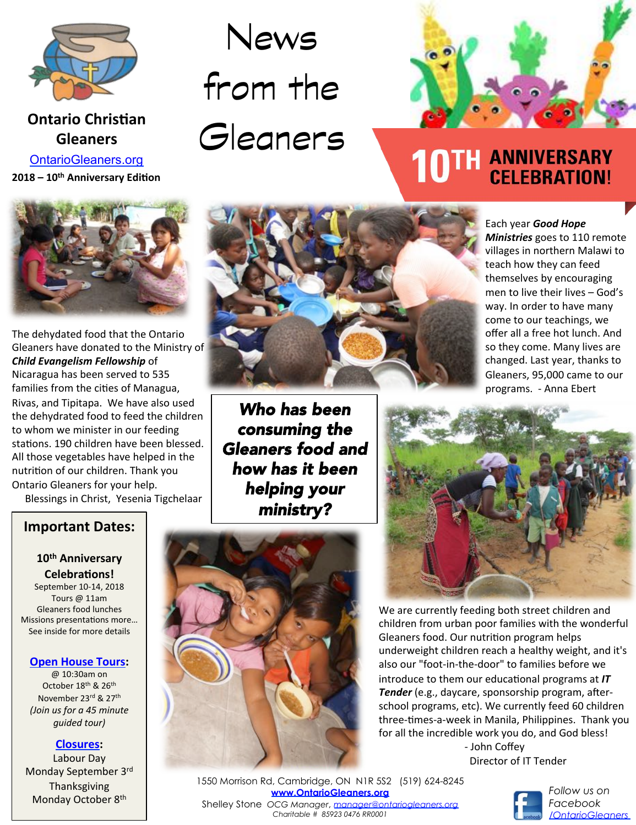

## **Ontario Christian Gleaners**

**2018** – 10<sup>th</sup> Anniversary Edition OntarioGleaners.org



The dehydated food that the Ontario Gleaners have donated to the Ministry of *Child Evangelism Fellowship* of Nicaragua has been served to 535 families from the cities of Managua, Rivas, and Tipitapa. We have also used the dehydrated food to feed the children to whom we minister in our feeding stations. 190 children have been blessed. All those vegetables have helped in the nutrition of our children. Thank you Ontario Gleaners for your help. Blessings in Christ, Yesenia Tigchelaar

**Important Dates:**

Ē

#### 10<sup>th</sup> Anniversary **Celebrations!**

September 10-14, 2018 Tours @ 11am Gleaners food lunches Missions presentations more... See inside for more details

#### **Open House Tours:**

@ 10:30am on October 18<sup>th</sup> & 26<sup>th</sup> November 23rd & 27<sup>th</sup> *(Join us for a 45 minute guided tour)* 

#### **Closures:**

Labour Day Monday September 3rd Thanksgiving Monday October 8<sup>th</sup>

# News from the Gleaners



# TH ANNIVERSARY **CELEBRATION!**

#### Each year **Good Hope**

**Ministries** goes to 110 remote villages in northern Malawi to teach how they can feed themselves by encouraging men to live their lives - God's way. In order to have many come to our teachings, we offer all a free hot lunch. And so they come. Many lives are changed. Last year, thanks to Gleaners, 95,000 came to our programs. - Anna Ebert

*Who has been consuming the Gleaners food and how has it been helping your ministry?*





We are currently feeding both street children and children from urban poor families with the wonderful Gleaners food. Our nutrition program helps underweight children reach a healthy weight, and it's also our "foot-in-the-door" to families before we introduce to them our educational programs at *IT Tender* (e.g., daycare, sponsorship program, afterschool programs, etc). We currently feed 60 children three-times-a-week in Manila, Philippines. Thank you for all the incredible work you do, and God bless!

> - John Coffey Director of IT Tender

1550 Morrison Rd, Cambridge, ON N1R 5S2 (519) 624-8245 **www.OntarioGleaners.org** Shelley Stone *OCG Manager*, *manager@ontariogleaners.org Charitable # 85923 0476 RR0001* 



*Follow us on Facebook /OntarioGleaners*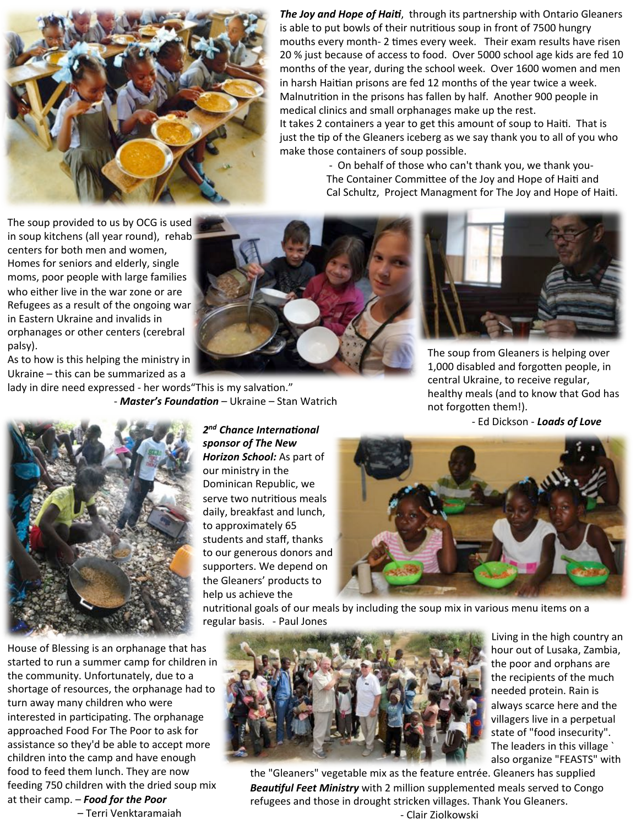

**The Joy and Hope of Haiti**, through its partnership with Ontario Gleaners is able to put bowls of their nutritious soup in front of 7500 hungry mouths every month- 2 times every week. Their exam results have risen 20 % just because of access to food. Over 5000 school age kids are fed 10 months of the year, during the school week. Over 1600 women and men in harsh Haitian prisons are fed 12 months of the year twice a week. Malnutrition in the prisons has fallen by half. Another 900 people in medical clinics and small orphanages make up the rest. It takes 2 containers a year to get this amount of soup to Haiti. That is just the tip of the Gleaners iceberg as we say thank you to all of you who make those containers of soup possible.

> - On behalf of those who can't thank you, we thank you-The Container Committee of the Joy and Hope of Haiti and Cal Schultz, Project Managment for The Joy and Hope of Haiti.

The soup provided to us by OCG is used in soup kitchens (all year round), rehab centers for both men and women, Homes for seniors and elderly, single moms, poor people with large families who either live in the war zone or are Refugees as a result of the ongoing war in Eastern Ukraine and invalids in orphanages or other centers (cerebral palsy). 

As to how is this helping the ministry in Ukraine  $-$  this can be summarized as a

lady in dire need expressed - her words "This is my salvation." - Master's Foundation - Ukraine - Stan Watrich



The soup from Gleaners is helping over 1,000 disabled and forgotten people, in central Ukraine, to receive regular, healthy meals (and to know that God has not forgotten them!).

**2<sup>nd</sup> Chance International** *i* **1.2** *and 2 and 2 and 2 and 2 and 2 and 2 and 2 and 2 and 2 and 2 and 2 and 2 and 2 and 2 and 2 and 2 and 2 and 2 and 2 and 2 and 2 and 2 and 2* 



sponsor of The New Horizon School: As part of our ministry in the Dominican Republic, we serve two nutritious meals daily, breakfast and lunch, to approximately 65 students and staff, thanks to our generous donors and supporters. We depend on the Gleaners' products to help us achieve the



nutritional goals of our meals by including the soup mix in various menu items on a regular basis. - Paul Jones

House of Blessing is an orphanage that has started to run a summer camp for children in the community. Unfortunately, due to a shortage of resources, the orphanage had to turn away many children who were interested in participating. The orphanage approached Food For The Poor to ask for assistance so they'd be able to accept more children into the camp and have enough food to feed them lunch. They are now feeding 750 children with the dried soup mix at their camp. - **Food for the Poor** 

– Terri Venktaramaiah



Living in the high country an hour out of Lusaka, Zambia, the poor and orphans are the recipients of the much needed protein. Rain is always scarce here and the villagers live in a perpetual state of "food insecurity". The leaders in this village ` also organize "FEASTS" with

the "Gleaners" vegetable mix as the feature entrée. Gleaners has supplied **Beautiful Feet Ministry** with 2 million supplemented meals served to Congo refugees and those in drought stricken villages. Thank You Gleaners. - Clair Ziolkowski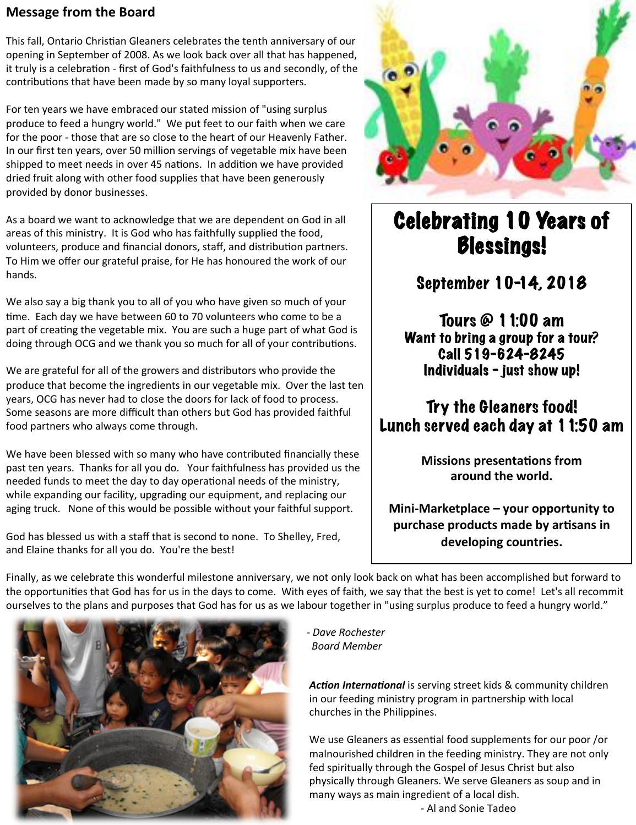#### **Message from the Board**

This fall, Ontario Christian Gleaners celebrates the tenth anniversary of our opening in September of 2008. As we look back over all that has happened, it truly is a celebration - first of God's faithfulness to us and secondly, of the contributions that have been made by so many loyal supporters.

For ten years we have embraced our stated mission of "using surplus produce to feed a hungry world." We put feet to our faith when we care for the poor - those that are so close to the heart of our Heavenly Father. In our first ten years, over 50 million servings of vegetable mix have been shipped to meet needs in over 45 nations. In addition we have provided dried fruit along with other food supplies that have been generously provided by donor businesses.

As a board we want to acknowledge that we are dependent on God in all areas of this ministry. It is God who has faithfully supplied the food, volunteers, produce and financial donors, staff, and distribution partners. To Him we offer our grateful praise, for He has honoured the work of our hands. 

We also say a big thank you to all of you who have given so much of your time. Each day we have between 60 to 70 volunteers who come to be a part of creating the vegetable mix. You are such a huge part of what God is doing through OCG and we thank you so much for all of your contributions.

We are grateful for all of the growers and distributors who provide the produce that become the ingredients in our vegetable mix. Over the last ten years, OCG has never had to close the doors for lack of food to process. Some seasons are more difficult than others but God has provided faithful food partners who always come through.

We have been blessed with so many who have contributed financially these past ten years. Thanks for all you do. Your faithfulness has provided us the needed funds to meet the day to day operational needs of the ministry, while expanding our facility, upgrading our equipment, and replacing our aging truck. None of this would be possible without your faithful support.

God has blessed us with a staff that is second to none. To Shelley, Fred, and Elaine thanks for all you do. You're the best!



# Celebrating 10 Years of Blessings!

September 10-14, 2018

Tours @ 11:00 am Want to bring a group for a tour? Call 519-624-8245 Individuals – just show up!

## Try the Gleaners food! Lunch served each day at 11:50 am

**Missions presentations from** around the world.

**Mini-Marketplace – your opportunity to purchase products made by artisans in** developing countries.

Finally, as we celebrate this wonderful milestone anniversary, we not only look back on what has been accomplished but forward to the opportunities that God has for us in the days to come. With eyes of faith, we say that the best is yet to come! Let's all recommit ourselves to the plans and purposes that God has for us as we labour together in "using surplus produce to feed a hungry world."



 *- Dave Rochester Board Member* 

Action International is serving street kids & community children in our feeding ministry program in partnership with local churches in the Philippines.

We use Gleaners as essential food supplements for our poor /or malnourished children in the feeding ministry. They are not only fed spiritually through the Gospel of Jesus Christ but also physically through Gleaners. We serve Gleaners as soup and in many ways as main ingredient of a local dish. - Al and Sonie Tadeo